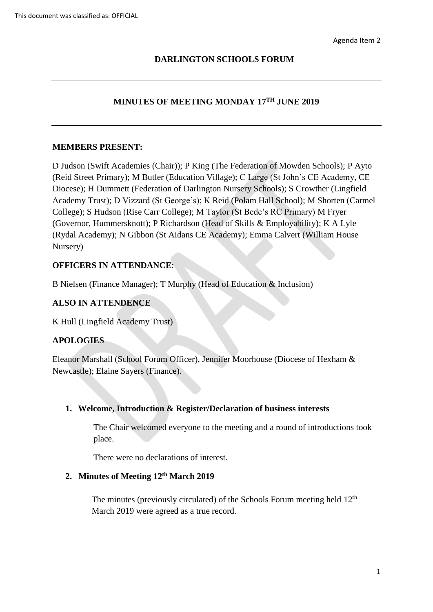## **DARLINGTON SCHOOLS FORUM**

## **MINUTES OF MEETING MONDAY 17TH JUNE 2019**

#### **MEMBERS PRESENT:**

 (Reid Street Primary); M Butler (Education Village); C Large (St John's CE Academy, CE (Governor, Hummersknott); P Richardson (Head of Skills & Employability); K A Lyle D Judson (Swift Academies (Chair)); P King (The Federation of Mowden Schools); P Ayto Diocese); H Dummett (Federation of Darlington Nursery Schools); S Crowther (Lingfield Academy Trust); D Vizzard (St George's); K Reid (Polam Hall School); M Shorten (Carmel College); S Hudson (Rise Carr College); M Taylor (St Bede's RC Primary) M Fryer (Rydal Academy); N Gibbon (St Aidans CE Academy); Emma Calvert (William House Nursery)

## **OFFICERS IN ATTENDANCE**:

B Nielsen (Finance Manager); T Murphy (Head of Education & Inclusion)

### **ALSO IN ATTENDENCE**

K Hull (Lingfield Academy Trust)

### **APOLOGIES**

Eleanor Marshall (School Forum Officer), Jennifer Moorhouse (Diocese of Hexham & Newcastle); Elaine Sayers (Finance).

### **1. Welcome, Introduction & Register/Declaration of business interests**

The Chair welcomed everyone to the meeting and a round of introductions took place.

There were no declarations of interest.

## **2. Minutes of Meeting 12th March 2019**

The minutes (previously circulated) of the Schools Forum meeting held  $12<sup>th</sup>$ March 2019 were agreed as a true record.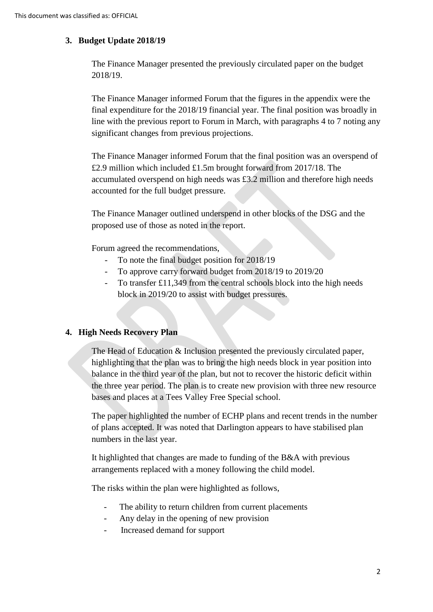## **3. Budget Update 2018/19**

The Finance Manager presented the previously circulated paper on the budget 2018/19.

The Finance Manager informed Forum that the figures in the appendix were the final expenditure for the 2018/19 financial year. The final position was broadly in line with the previous report to Forum in March, with paragraphs 4 to 7 noting any significant changes from previous projections.

The Finance Manager informed Forum that the final position was an overspend of £2.9 million which included £1.5m brought forward from 2017/18. The accumulated overspend on high needs was £3.2 million and therefore high needs accounted for the full budget pressure.

The Finance Manager outlined underspend in other blocks of the DSG and the proposed use of those as noted in the report.

Forum agreed the recommendations,

- To note the final budget position for 2018/19
- To approve carry forward budget from 2018/19 to 2019/20
- To transfer £11,349 from the central schools block into the high needs block in 2019/20 to assist with budget pressures.

### **4. High Needs Recovery Plan**

The Head of Education & Inclusion presented the previously circulated paper, highlighting that the plan was to bring the high needs block in year position into balance in the third year of the plan, but not to recover the historic deficit within the three year period. The plan is to create new provision with three new resource bases and places at a Tees Valley Free Special school.

The paper highlighted the number of ECHP plans and recent trends in the number of plans accepted. It was noted that Darlington appears to have stabilised plan numbers in the last year.

It highlighted that changes are made to funding of the B&A with previous arrangements replaced with a money following the child model.

The risks within the plan were highlighted as follows,

- The ability to return children from current placements
- Any delay in the opening of new provision
- Increased demand for support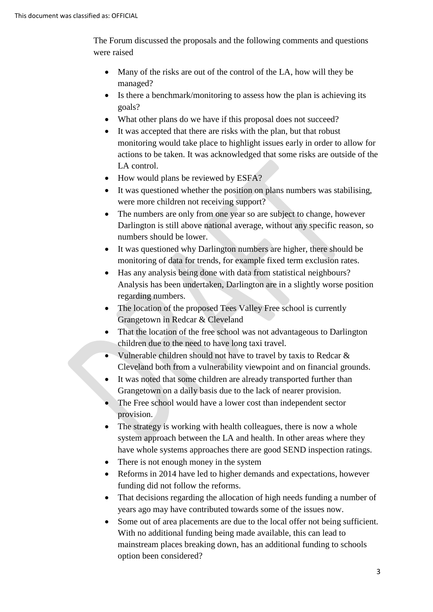The Forum discussed the proposals and the following comments and questions were raised

- Many of the risks are out of the control of the LA, how will they be managed?
- Is there a benchmark/monitoring to assess how the plan is achieving its goals?
- What other plans do we have if this proposal does not succeed?
- It was accepted that there are risks with the plan, but that robust monitoring would take place to highlight issues early in order to allow for actions to be taken. It was acknowledged that some risks are outside of the LA control.
- How would plans be reviewed by ESFA?
- It was questioned whether the position on plans numbers was stabilising, were more children not receiving support?
- The numbers are only from one year so are subject to change, however Darlington is still above national average, without any specific reason, so numbers should be lower.
- It was questioned why Darlington numbers are higher, there should be monitoring of data for trends, for example fixed term exclusion rates.
- regarding numbers. • Has any analysis being done with data from statistical neighbours? Analysis has been undertaken, Darlington are in a slightly worse position
- The location of the proposed Tees Valley Free school is currently Grangetown in Redcar & Cleveland
- That the location of the free school was not advantageous to Darlington children due to the need to have long taxi travel.
- Vulnerable children should not have to travel by taxis to Redcar & Cleveland both from a vulnerability viewpoint and on financial grounds.
- It was noted that some children are already transported further than Grangetown on a daily basis due to the lack of nearer provision.
- provision. • The Free school would have a lower cost than independent sector
- The strategy is working with health colleagues, there is now a whole system approach between the LA and health. In other areas where they have whole systems approaches there are good SEND inspection ratings.
- There is not enough money in the system
- Reforms in 2014 have led to higher demands and expectations, however funding did not follow the reforms.
- That decisions regarding the allocation of high needs funding a number of years ago may have contributed towards some of the issues now.
- Some out of area placements are due to the local offer not being sufficient. With no additional funding being made available, this can lead to mainstream places breaking down, has an additional funding to schools option been considered?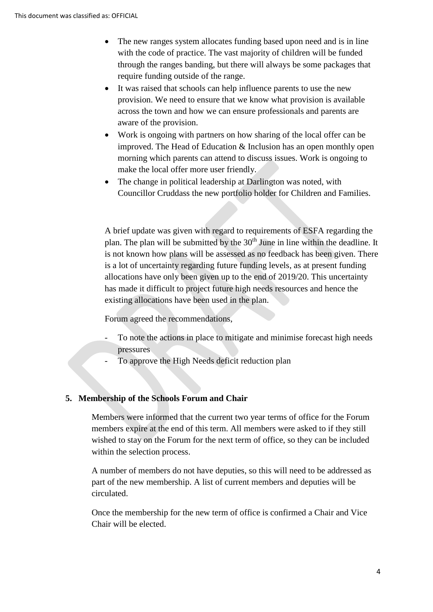- The new ranges system allocates funding based upon need and is in line with the code of practice. The vast majority of children will be funded through the ranges banding, but there will always be some packages that require funding outside of the range.
- It was raised that schools can help influence parents to use the new provision. We need to ensure that we know what provision is available across the town and how we can ensure professionals and parents are aware of the provision.
- Work is ongoing with partners on how sharing of the local offer can be improved. The Head of Education & Inclusion has an open monthly open morning which parents can attend to discuss issues. Work is ongoing to make the local offer more user friendly.
- The change in political leadership at Darlington was noted, with Councillor Cruddass the new portfolio holder for Children and Families.

 is a lot of uncertainty regarding future funding levels, as at present funding is not known how plans will be assessed as no feedback has been given. There existing allocations have been used in the plan. A brief update was given with regard to requirements of ESFA regarding the plan. The plan will be submitted by the 30<sup>th</sup> June in line within the deadline. It allocations have only been given up to the end of 2019/20. This uncertainty has made it difficult to project future high needs resources and hence the

Forum agreed the recommendations,

- To note the actions in place to mitigate and minimise forecast high needs pressures -
- To approve the High Needs deficit reduction plan

#### **5. Membership of the Schools Forum and Chair**

 members expire at the end of this term. All members were asked to if they still Members were informed that the current two year terms of office for the Forum wished to stay on the Forum for the next term of office, so they can be included within the selection process.

 part of the new membership. A list of current members and deputies will be A number of members do not have deputies, so this will need to be addressed as circulated.

Once the membership for the new term of office is confirmed a Chair and Vice Chair will be elected.